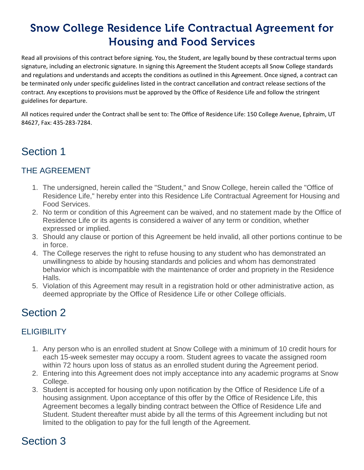# **Snow College Residence Life Contractual Agreement for Housing and Food Services**

Read all provisions of this contract before signing. You, the Student, are legally bound by these contractual terms upon signature, including an electronic signature. In signing this Agreement the Student accepts all Snow College standards and regulations and understands and accepts the conditions as outlined in this Agreement. Once signed, a contract can be terminated only under specific guidelines listed in the contract cancellation and contract release sections of the contract. Any exceptions to provisions must be approved by the Office of Residence Life and follow the stringent guidelines for departure.

All notices required under the Contract shall be sent to: The Office of Residence Life: 150 College Avenue, Ephraim, UT 84627, Fax: 435-283-7284.

### Section 1

### THE AGREEMENT

- 1. The undersigned, herein called the "Student," and Snow College, herein called the "Office of Residence Life," hereby enter into this Residence Life Contractual Agreement for Housing and Food Services.
- 2. No term or condition of this Agreement can be waived, and no statement made by the Office of Residence Life or its agents is considered a waiver of any term or condition, whether expressed or implied.
- 3. Should any clause or portion of this Agreement be held invalid, all other portions continue to be in force.
- 4. The College reserves the right to refuse housing to any student who has demonstrated an unwillingness to abide by housing standards and policies and whom has demonstrated behavior which is incompatible with the maintenance of order and propriety in the Residence Halls.
- 5. Violation of this Agreement may result in a registration hold or other administrative action, as deemed appropriate by the Office of Residence Life or other College officials.

### Section 2

#### **ELIGIBILITY**

- 1. Any person who is an enrolled student at Snow College with a minimum of 10 credit hours for each 15-week semester may occupy a room. Student agrees to vacate the assigned room within 72 hours upon loss of status as an enrolled student during the Agreement period.
- 2. Entering into this Agreement does not imply acceptance into any academic programs at Snow College.
- 3. Student is accepted for housing only upon notification by the Office of Residence Life of a housing assignment. Upon acceptance of this offer by the Office of Residence Life, this Agreement becomes a legally binding contract between the Office of Residence Life and Student. Student thereafter must abide by all the terms of this Agreement including but not limited to the obligation to pay for the full length of the Agreement.

# Section 3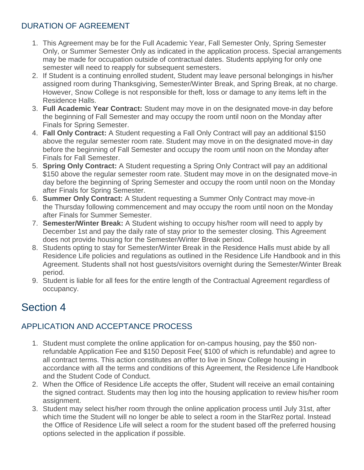#### DURATION OF AGREEMENT

- 1. This Agreement may be for the Full Academic Year, Fall Semester Only, Spring Semester Only, or Summer Semester Only as indicated in the application process. Special arrangements may be made for occupation outside of contractual dates. Students applying for only one semester will need to reapply for subsequent semesters.
- 2. If Student is a continuing enrolled student, Student may leave personal belongings in his/her assigned room during Thanksgiving, Semester/Winter Break, and Spring Break, at no charge. However, Snow College is not responsible for theft, loss or damage to any items left in the Residence Halls.
- 3. **Full Academic Year Contract:** Student may move in on the designated move-in day before the beginning of Fall Semester and may occupy the room until noon on the Monday after Finals for Spring Semester.
- 4. **Fall Only Contract:** A Student requesting a Fall Only Contract will pay an additional \$150 above the regular semester room rate. Student may move in on the designated move-in day before the beginning of Fall Semester and occupy the room until noon on the Monday after Finals for Fall Semester.
- 5. **Spring Only Contract:** A Student requesting a Spring Only Contract will pay an additional \$150 above the regular semester room rate. Student may move in on the designated move-in day before the beginning of Spring Semester and occupy the room until noon on the Monday after Finals for Spring Semester.
- 6. **Summer Only Contract:** A Student requesting a Summer Only Contract may move-in the Thursday following commencement and may occupy the room until noon on the Monday after Finals for Summer Semester.
- 7. **Semester/Winter Break:** A Student wishing to occupy his/her room will need to apply by December 1st and pay the daily rate of stay prior to the semester closing. This Agreement does not provide housing for the Semester/Winter Break period.
- 8. Students opting to stay for Semester/Winter Break in the Residence Halls must abide by all Residence Life policies and regulations as outlined in the Residence Life Handbook and in this Agreement. Students shall not host guests/visitors overnight during the Semester/Winter Break period.
- 9. Student is liable for all fees for the entire length of the Contractual Agreement regardless of occupancy.

## Section 4

### APPLICATION AND ACCEPTANCE PROCESS

- 1. Student must complete the online application for on-campus housing, pay the \$50 nonrefundable Application Fee and \$150 Deposit Fee( \$100 of which is refundable) and agree to all contract terms. This action constitutes an offer to live in Snow College housing in accordance with all the terms and conditions of this Agreement, the Residence Life Handbook and the Student Code of Conduct.
- 2. When the Office of Residence Life accepts the offer, Student will receive an email containing the signed contract. Students may then log into the housing application to review his/her room assignment.
- 3. Student may select his/her room through the online application process until July 31st, after which time the Student will no longer be able to select a room in the StarRez portal. Instead the Office of Residence Life will select a room for the student based off the preferred housing options selected in the application if possible.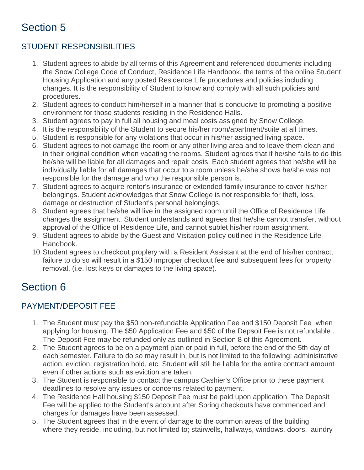# Section 5

### STUDENT RESPONSIBILITIES

- 1. Student agrees to abide by all terms of this Agreement and referenced documents including the Snow College Code of Conduct, Residence Life Handbook, the terms of the online Student Housing Application and any posted Residence Life procedures and policies including changes. It is the responsibility of Student to know and comply with all such policies and procedures.
- 2. Student agrees to conduct him/herself in a manner that is conducive to promoting a positive environment for those students residing in the Residence Halls.
- 3. Student agrees to pay in full all housing and meal costs assigned by Snow College.
- 4. It is the responsibility of the Student to secure his/her room/apartment/suite at all times.
- 5. Student is responsible for any violations that occur in his/her assigned living space.
- 6. Student agrees to not damage the room or any other living area and to leave them clean and in their original condition when vacating the rooms. Student agrees that if he/she fails to do this he/she will be liable for all damages and repair costs. Each student agrees that he/she will be individually liable for all damages that occur to a room unless he/she shows he/she was not responsible for the damage and who the responsible person is.
- 7. Student agrees to acquire renter's insurance or extended family insurance to cover his/her belongings. Student acknowledges that Snow College is not responsible for theft, loss, damage or destruction of Student's personal belongings.
- 8. Student agrees that he/she will live in the assigned room until the Office of Residence Life changes the assignment. Student understands and agrees that he/she cannot transfer, without approval of the Office of Residence Life, and cannot sublet his/her room assignment.
- 9. Student agrees to abide by the Guest and Visitation policy outlined in the Residence Life Handbook.
- 10.Student agrees to checkout proplery with a Resident Assistant at the end of his/her contract, failure to do so will result in a \$150 improper checkout fee and subsequent fees for property removal, (i.e. lost keys or damages to the living space).

# Section 6

### PAYMENT/DEPOSIT FEE

- 1. The Student must pay the \$50 non-refundable Application Fee and \$150 Deposit Fee when applying for housing. The \$50 Application Fee and \$50 of the Depsoit Fee is not refundable . The Deposit Fee may be refunded only as outlined in Section 8 of this Agreement.
- 2. The Student agrees to be on a payment plan or paid in full, before the end of the 5th day of each semester. Failure to do so may result in, but is not limited to the following; administrative action, eviction, registration hold, etc. Student will still be liable for the entire contract amount even if other actions such as eviction are taken.
- 3. The Student is responsible to contact the campus Cashier's Office prior to these payment deadlines to resolve any issues or concerns related to payment.
- 4. The Residence Hall housing \$150 Deposit Fee must be paid upon application. The Deposit Fee will be applied to the Student's account after Spring checkouts have commenced and charges for damages have been assessed.
- 5. The Student agrees that in the event of damage to the common areas of the building where they reside, including, but not limited to; stairwells, hallways, windows, doors, laundry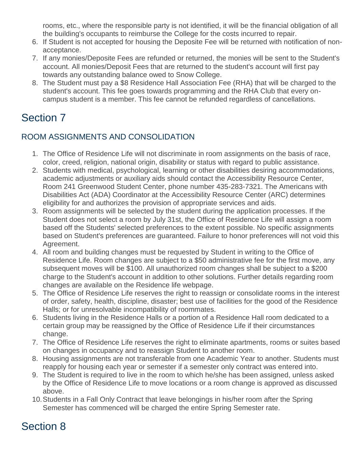rooms, etc., where the responsible party is not identified, it will be the financial obligation of all the building's occupants to reimburse the College for the costs incurred to repair.

- 6. If Student is not accepted for housing the Deposite Fee will be returned with notification of nonacceptance.
- 7. If any monies/Deposite Fees are refunded or returned, the monies will be sent to the Student's account. All monies/Deposit Fees that are returned to the student's account will first pay towards any outstanding balance owed to Snow College.
- 8. The Student must pay a \$8 Residence Hall Association Fee (RHA) that will be charged to the student's account. This fee goes towards programming and the RHA Club that every oncampus student is a member. This fee cannot be refunded regardless of cancellations.

## Section 7

#### ROOM ASSIGNMENTS AND CONSOLIDATION

- 1. The Office of Residence Life will not discriminate in room assignments on the basis of race, color, creed, religion, national origin, disability or status with regard to public assistance.
- 2. Students with medical, psychological, learning or other disabilities desiring accommodations, academic adjustments or auxiliary aids should contact the Accessibility Resource Center, Room 241 Greenwood Student Center, phone number 435-283-7321. The Americans with Disabilities Act (ADA) Coordinator at the Accessibility Resource Center (ARC) determines eligibility for and authorizes the provision of appropriate services and aids.
- 3. Room assignments will be selected by the student during the application processes. If the Student does not select a room by July 31st, the Office of Residence Life will assign a room based off the Students' selected preferences to the extent possible. No specific assignments based on Student's preferences are guaranteed. Failure to honor preferences will not void this Agreement.
- 4. All room and building changes must be requested by Student in writing to the Office of Residence Life. Room changes are subject to a \$50 administrative fee for the first move, any subsequent moves will be \$100. All unauthorized room changes shall be subject to a \$200 charge to the Student's account in addition to other solutions. Further details regarding room changes are available on the Residence life webpage.
- 5. The Office of Residence Life reserves the right to reassign or consolidate rooms in the interest of order, safety, health, discipline, disaster; best use of facilities for the good of the Residence Halls; or for unresolvable incompatibility of roommates.
- 6. Students living in the Residence Halls or a portion of a Residence Hall room dedicated to a certain group may be reassigned by the Office of Residence Life if their circumstances change.
- 7. The Office of Residence Life reserves the right to eliminate apartments, rooms or suites based on changes in occupancy and to reassign Student to another room.
- 8. Housing assignments are not transferable from one Academic Year to another. Students must reapply for housing each year or semester if a semester only contract was entered into.
- 9. The Student is required to live in the room to which he/she has been assigned, unless asked by the Office of Residence Life to move locations or a room change is approved as discussed above.
- 10.Students in a Fall Only Contract that leave belongings in his/her room after the Spring Semester has commenced will be charged the entire Spring Semester rate.

## Section 8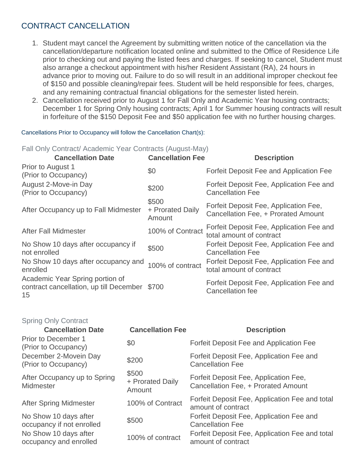#### CONTRACT CANCELLATION

- 1. Student mayt cancel the Agreement by submitting written notice of the cancellation via the cancellation/departure notification located online and submitted to the Office of Residence Life prior to checking out and paying the listed fees and charges. If seeking to cancel, Student must also arrange a checkout appointment with his/her Resident Assistant (RA), 24 hours in advance prior to moving out. Failure to do so will result in an additional improper checkout fee of \$150 and possible cleaning/repair fees. Student will be held responsible for fees, charges, and any remaining contractual financial obligations for the semester listed herein.
- 2. Cancellation received prior to August 1 for Fall Only and Academic Year housing contracts; December 1 for Spring Only housing contracts; April 1 for Summer housing contracts will result in forfeiture of the \$150 Deposit Fee and \$50 application fee with no further housing charges.

Cancellations Prior to Occupancy will follow the Cancellation Chart(s):

Fall Only Contract/ Academic Year Contracts (August-May)

| <b>Cancellation Date</b>                                                         | <b>Cancellation Fee</b>             | <b>Description</b>                                                           |
|----------------------------------------------------------------------------------|-------------------------------------|------------------------------------------------------------------------------|
| Prior to August 1<br>(Prior to Occupancy)                                        | \$0                                 | Forfeit Deposit Fee and Application Fee                                      |
| August 2-Move-in Day<br>(Prior to Occupancy)                                     | \$200                               | Forfeit Deposit Fee, Application Fee and<br><b>Cancellation Fee</b>          |
| After Occupancy up to Fall Midmester                                             | \$500<br>+ Prorated Daily<br>Amount | Forfeit Deposit Fee, Application Fee,<br>Cancellation Fee, + Prorated Amount |
| <b>After Fall Midmester</b>                                                      | 100% of Contract                    | Forfeit Deposit Fee, Application Fee and<br>total amount of contract         |
| No Show 10 days after occupancy if<br>not enrolled                               | \$500                               | Forfeit Deposit Fee, Application Fee and<br><b>Cancellation Fee</b>          |
| No Show 10 days after occupancy and<br>enrolled                                  | 100% of contract                    | Forfeit Deposit Fee, Application Fee and<br>total amount of contract         |
| Academic Year Spring portion of<br>contract cancellation, up till December<br>15 | \$700                               | Forfeit Deposit Fee, Application Fee and<br><b>Cancellation fee</b>          |

| <b>Spring Only Contract</b>                        |                                     |                                                                              |
|----------------------------------------------------|-------------------------------------|------------------------------------------------------------------------------|
| <b>Cancellation Date</b>                           | <b>Cancellation Fee</b>             | <b>Description</b>                                                           |
| Prior to December 1<br>(Prior to Occupancy)        | \$0                                 | Forfeit Deposit Fee and Application Fee                                      |
| December 2-Movein Day<br>(Prior to Occupancy)      | \$200                               | Forfeit Deposit Fee, Application Fee and<br><b>Cancellation Fee</b>          |
| After Occupancy up to Spring<br>Midmester          | \$500<br>+ Prorated Daily<br>Amount | Forfeit Deposit Fee, Application Fee,<br>Cancellation Fee, + Prorated Amount |
| <b>After Spring Midmester</b>                      | 100% of Contract                    | Forfeit Deposit Fee, Application Fee and total<br>amount of contract         |
| No Show 10 days after<br>occupancy if not enrolled | \$500                               | Forfeit Deposit Fee, Application Fee and<br><b>Cancellation Fee</b>          |
| No Show 10 days after<br>occupancy and enrolled    | 100% of contract                    | Forfeit Deposit Fee, Application Fee and total<br>amount of contract         |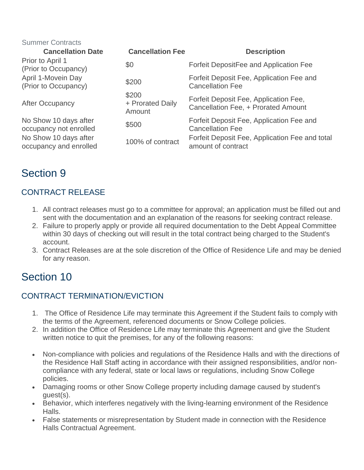| <b>Summer Contracts</b>                         |                                     |                                                                              |
|-------------------------------------------------|-------------------------------------|------------------------------------------------------------------------------|
| <b>Cancellation Date</b>                        | <b>Cancellation Fee</b>             | <b>Description</b>                                                           |
| Prior to April 1<br>(Prior to Occupancy)        | \$0                                 | Forfeit DepositFee and Application Fee                                       |
| April 1-Movein Day<br>(Prior to Occupancy)      | \$200                               | Forfeit Deposit Fee, Application Fee and<br><b>Cancellation Fee</b>          |
| <b>After Occupancy</b>                          | \$200<br>+ Prorated Daily<br>Amount | Forfeit Deposit Fee, Application Fee,<br>Cancellation Fee, + Prorated Amount |
| No Show 10 days after<br>occupancy not enrolled | \$500                               | Forfeit Deposit Fee, Application Fee and<br><b>Cancellation Fee</b>          |
| No Show 10 days after<br>occupancy and enrolled | 100% of contract                    | Forfeit Deposit Fee, Application Fee and total<br>amount of contract         |

## Section 9

### CONTRACT RELEASE

- 1. All contract releases must go to a committee for approval; an application must be filled out and sent with the documentation and an explanation of the reasons for seeking contract release.
- 2. Failure to properly apply or provide all required documentation to the Debt Appeal Committee within 30 days of checking out will result in the total contract being charged to the Student's account.
- 3. Contract Releases are at the sole discretion of the Office of Residence Life and may be denied for any reason.

## Section 10

#### CONTRACT TERMINATION/EVICTION

- 1. The Office of Residence Life may terminate this Agreement if the Student fails to comply with the terms of the Agreement, referenced documents or Snow College policies.
- 2. In addition the Office of Residence Life may terminate this Agreement and give the Student written notice to quit the premises, for any of the following reasons:
- Non-compliance with policies and regulations of the Residence Halls and with the directions of the Residence Hall Staff acting in accordance with their assigned responsibilities, and/or noncompliance with any federal, state or local laws or regulations, including Snow College policies.
- Damaging rooms or other Snow College property including damage caused by student's guest(s).
- Behavior, which interferes negatively with the living-learning environment of the Residence Halls.
- False statements or misrepresentation by Student made in connection with the Residence Halls Contractual Agreement.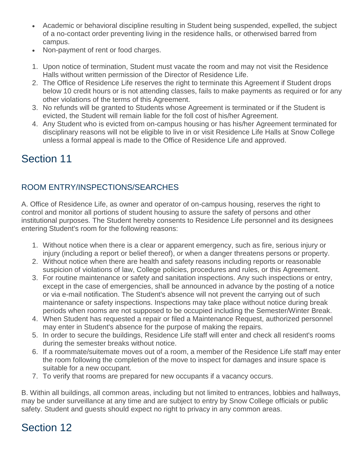- Academic or behavioral discipline resulting in Student being suspended, expelled, the subject of a no-contact order preventing living in the residence halls, or otherwised barred from campus.
- Non-payment of rent or food charges.
- 1. Upon notice of termination, Student must vacate the room and may not visit the Residence Halls without written permission of the Director of Residence Life.
- 2. The Office of Residence Life reserves the right to terminate this Agreement if Student drops below 10 credit hours or is not attending classes, fails to make payments as required or for any other violations of the terms of this Agreement.
- 3. No refunds will be granted to Students whose Agreement is terminated or if the Student is evicted, the Student will remain liable for the foll cost of his/her Agreement.
- 4. Any Student who is evicted from on-campus housing or has his/her Agreement terminated for disciplinary reasons will not be eligible to live in or visit Residence Life Halls at Snow College unless a formal appeal is made to the Office of Residence Life and approved.

## Section 11

### ROOM ENTRY/INSPECTIONS/SEARCHES

A. Office of Residence Life, as owner and operator of on-campus housing, reserves the right to control and monitor all portions of student housing to assure the safety of persons and other institutional purposes. The Student hereby consents to Residence Life personnel and its designees entering Student's room for the following reasons:

- 1. Without notice when there is a clear or apparent emergency, such as fire, serious injury or injury (including a report or belief thereof), or when a danger threatens persons or property.
- 2. Without notice when there are health and safety reasons including reports or reasonable suspicion of violations of law, College policies, procedures and rules, or this Agreement.
- 3. For routine maintenance or safety and sanitation inspections. Any such inspections or entry, except in the case of emergencies, shall be announced in advance by the posting of a notice or via e-mail notification. The Student's absence will not prevent the carrying out of such maintenance or safety inspections. Inspections may take place without notice during break periods when rooms are not supposed to be occupied including the Semester/Winter Break.
- 4. When Student has requested a repair or filed a Maintenance Request, authorized personnel may enter in Student's absence for the purpose of making the repairs.
- 5. In order to secure the buildings, Residence Life staff will enter and check all resident's rooms during the semester breaks without notice.
- 6. If a roommate/suitemate moves out of a room, a member of the Residence Life staff may enter the room following the completion of the move to inspect for damages and insure space is suitable for a new occupant.
- 7. To verify that rooms are prepared for new occupants if a vacancy occurs.

B. Within all buildings, all common areas, including but not limited to entrances, lobbies and hallways, may be under surveillance at any time and are subject to entry by Snow College officials or public safety. Student and guests should expect no right to privacy in any common areas.

# Section 12